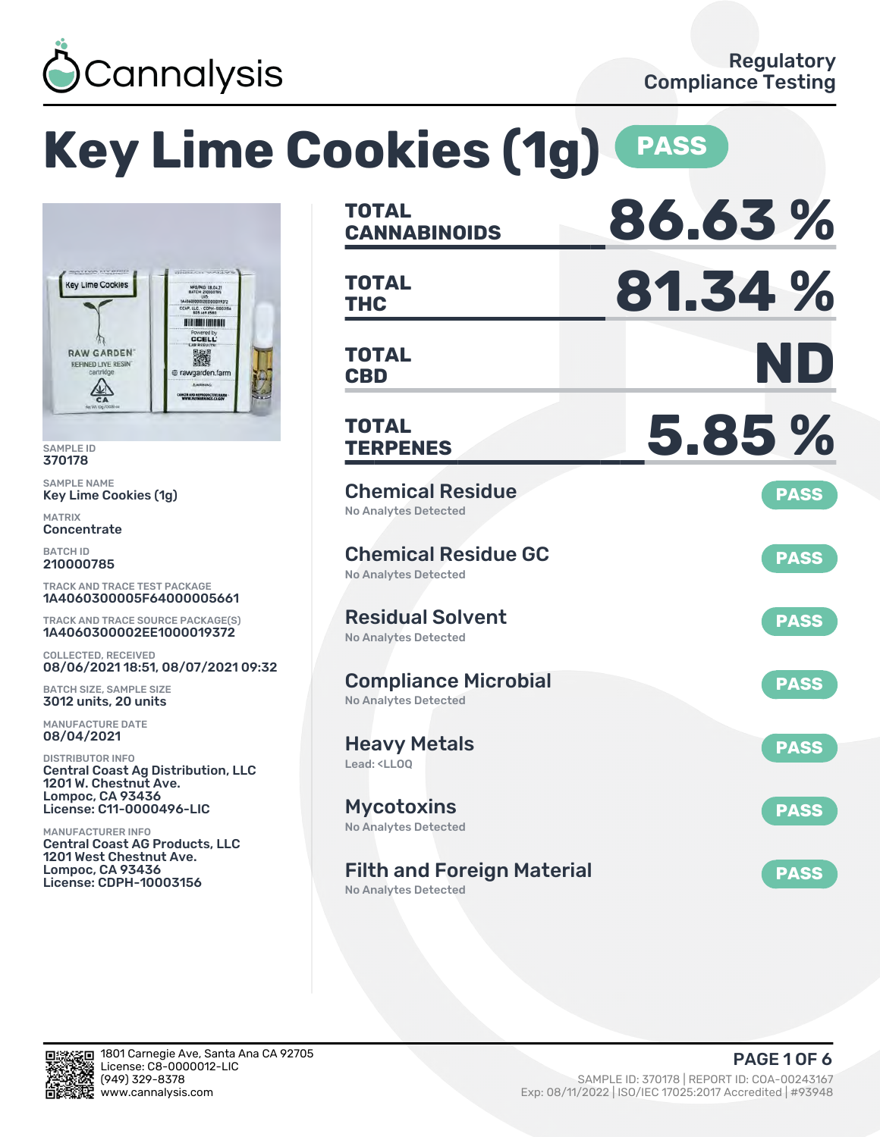

#### **Key Lime Cookies (1g) PASS CANNABINOIDS 86.63 % TOTAL THC 81.34 % TOTAL** MFORKD 08.04.21 CCAP, LLC. - CDPH-100 **HITINGIANIAN** CCELL **CBD ND TOTAL** 激 @ rawgarden.farm **AW NCER AND REPRODUCTIVE BAR TERPENES 5.85 % TOTAL** Chemical Residue **PASS** No Analytes Detected Chemical Residue GC **PASS** No Analytes Detected TRACK AND TRACE TEST PACKAGE 1A4060300005F64000005661 Residual Solvent TRACK AND TRACE SOURCE PACKAGE(S) **PASS** 1A4060300002EE1000019372 No Analytes Detected 08/06/2021 18:51, 08/07/2021 09:32 Compliance Microbial **PASS** No Analytes Detected Heavy Metals **PASS** Lead: <LLOQ Central Coast Ag Distribution, LLC 1201 W. Chestnut Ave. License: C11-0000496-LIC Mycotoxins **PASS** No Analytes Detected Central Coast AG Products, LLC 1201 West Chestnut Ave. Filth and Foreign Material **PASS** License: CDPH-10003156 No Analytes Detected

SAMPLE ID 370178 SAMPLE NAME

MATRIX **Concentrate** BATCH ID 210000785

Key Lime Cookies (1g)

**Key Lime Cookies** 

**RAW GARDEN** 

REFINED LIVE RESIN

 $\frac{1}{64}$ 

COLLECTED, RECEIVED

BATCH SIZE, SAMPLE SIZE 3012 units, 20 units MANUFACTURE DATE 08/04/2021 DISTRIBUTOR INFO

Lompoc, CA 93436

MANUFACTURER INFO

Lompoc, CA 93436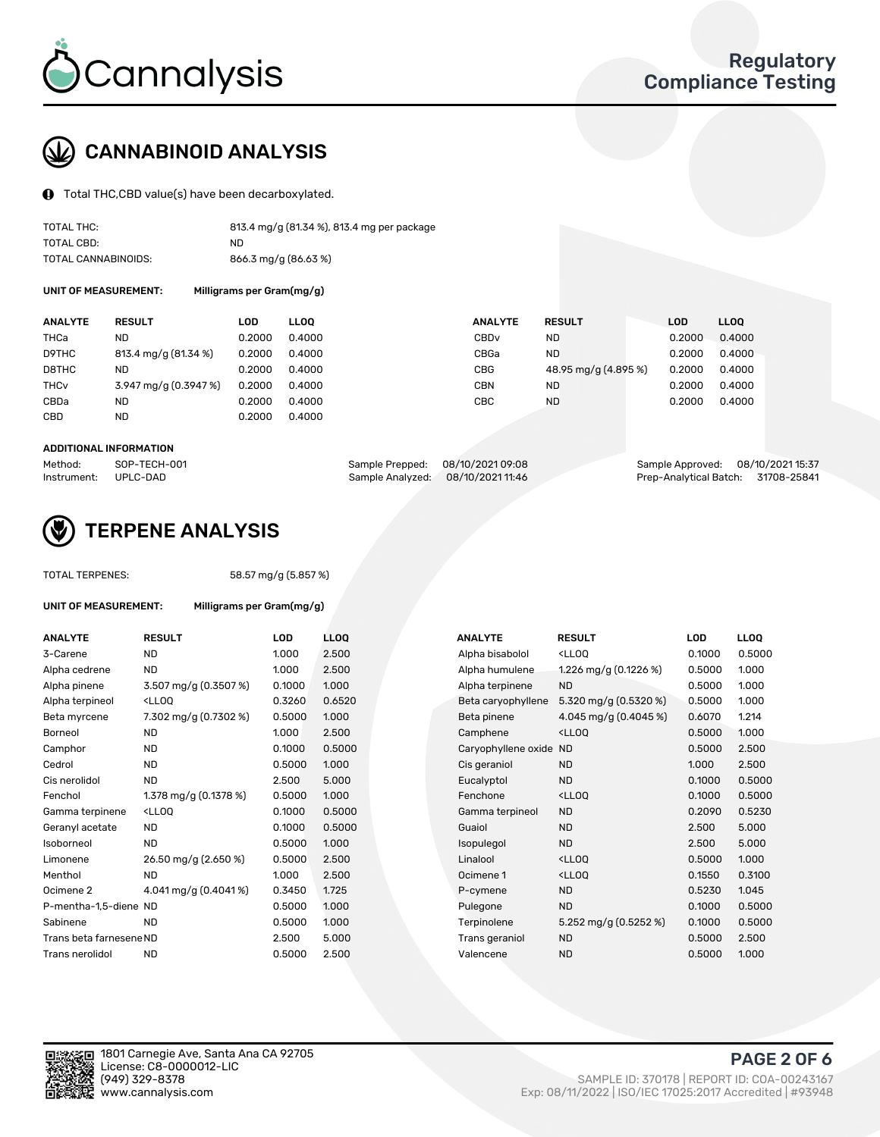

## CANNABINOID ANALYSIS

Total THC,CBD value(s) have been decarboxylated.

| TOTAL THC:          | 813.4 mg/g (81.34 %), 813.4 mg per package |
|---------------------|--------------------------------------------|
| TOTAL CBD:          | ND.                                        |
| TOTAL CANNABINOIDS: | 866.3 mg/g (86.63 %)                       |

UNIT OF MEASUREMENT: Milligrams per Gram(mg/g)

| <b>ANALYTE</b>         | <b>RESULT</b>         | LOD    | <b>LLOO</b> | <b>ANALYTE</b>   | <b>RESULT</b>        | LOD    | LL <sub>00</sub> |
|------------------------|-----------------------|--------|-------------|------------------|----------------------|--------|------------------|
| THCa                   | ND                    | 0.2000 | 0.4000      | CBD <sub>v</sub> | ND                   | 0.2000 | 0.4000           |
| D9THC                  | 813.4 mg/g (81.34 %)  | 0.2000 | 0.4000      | CBGa             | ND.                  | 0.2000 | 0.4000           |
| D8THC                  | ND                    | 0.2000 | 0.4000      | <b>CBG</b>       | 48.95 mg/g (4.895 %) | 0.2000 | 0.4000           |
| <b>THC<sub>v</sub></b> | 3.947 mg/g (0.3947 %) | 0.2000 | 0.4000      | <b>CBN</b>       | ND                   | 0.2000 | 0.4000           |
| CBDa                   | ND                    | 0.2000 | 0.4000      | CBC              | <b>ND</b>            | 0.2000 | 0.4000           |
| CBD                    | ND                    | 0.2000 | 0.4000      |                  |                      |        |                  |
|                        |                       |        |             |                  |                      |        |                  |

#### ADDITIONAL INFORMATION

| Method:              | SOP-TECH-001 | Sample Prepped: 08/10/2021 09:08  | Sample Approved: 08/10/2021 15:37  |  |
|----------------------|--------------|-----------------------------------|------------------------------------|--|
| Instrument: UPLC-DAD |              | Sample Analyzed: 08/10/2021 11:46 | Prep-Analytical Batch: 31708-25841 |  |



## TERPENE ANALYSIS

| <b>TOTAL TERPENES:</b>      |                                                 | 58.57 mg/g (5.857 %)      |     |  |  |  |  |  |
|-----------------------------|-------------------------------------------------|---------------------------|-----|--|--|--|--|--|
| <b>UNIT OF MEASUREMENT:</b> |                                                 | Milligrams per Gram(mg/g) |     |  |  |  |  |  |
| <b>ANALYTE</b>              | <b>RESULT</b>                                   | LOD                       | ш   |  |  |  |  |  |
| 3-Carene                    | <b>ND</b>                                       | 1.000                     | 2.5 |  |  |  |  |  |
| Alpha cedrene               | ND.                                             | 1.000                     | 2.5 |  |  |  |  |  |
| Alpha pinene                | $3.507 \,\mathrm{mg/g}$ (0.3507 %)              | 0.1000                    | 1(  |  |  |  |  |  |
| Alpha terpineol             | <ll00< td=""><td>0.3260</td><td>0.</td></ll00<> | 0.3260                    | 0.  |  |  |  |  |  |
| Beta myrcene                | 7.302 mg/g (0.7302 %)                           | 0.5000                    | 1(  |  |  |  |  |  |
| Borneol                     | <b>ND</b>                                       | 1.000                     | 2.5 |  |  |  |  |  |
| Camphor                     | <b>ND</b>                                       | 0.1000                    | 0.  |  |  |  |  |  |
| Cedrol                      | <b>ND</b>                                       | 0.5000                    | 1.0 |  |  |  |  |  |
| Cis nerolidol               | <b>ND</b>                                       | 2.500                     | 5.  |  |  |  |  |  |
| Fenchol                     | 1.378 mg/g $(0.1378%)$                          | 0.5000                    | 1.0 |  |  |  |  |  |
| Gamma terpinene             | $<$ LLOO                                        | 0.1000                    | 0.  |  |  |  |  |  |
| Geranyl acetate             | <b>ND</b>                                       | 0.1000                    | 0.  |  |  |  |  |  |
| Isoborneol                  | <b>ND</b>                                       | 0.5000                    | 1(  |  |  |  |  |  |
| Limonene                    | 26.50 mg/g (2.650 %)                            | 0.5000                    | 2.5 |  |  |  |  |  |
| Menthol                     | <b>ND</b>                                       | 1.000                     | 2.  |  |  |  |  |  |
| Ocimene <sub>2</sub>        | 4.041 mg/g (0.4041%)                            | 0.3450                    | 1.7 |  |  |  |  |  |
| P-mentha-1,5-diene ND       |                                                 | 0.5000                    | 1.0 |  |  |  |  |  |
| Sabinene                    | <b>ND</b>                                       | 0.5000                    | 1(  |  |  |  |  |  |
| Trans beta farnesene ND     |                                                 | 2.500                     | 5.  |  |  |  |  |  |

| ANALYTE                 | <b>RESULT</b>                                                                                                                                          | <b>LOD</b> | <b>LLOQ</b> | <b>ANALYTE</b>         | <b>RESULT</b>                                       | <b>LOD</b> | <b>LLOQ</b> |
|-------------------------|--------------------------------------------------------------------------------------------------------------------------------------------------------|------------|-------------|------------------------|-----------------------------------------------------|------------|-------------|
| 3-Carene                | <b>ND</b>                                                                                                                                              | 1.000      | 2.500       | Alpha bisabolol        | <lloq< td=""><td>0.1000</td><td>0.5000</td></lloq<> | 0.1000     | 0.5000      |
| Alpha cedrene           | <b>ND</b>                                                                                                                                              | 1.000      | 2.500       | Alpha humulene         | 1.226 mg/g $(0.1226\%)$                             | 0.5000     | 1.000       |
| Alpha pinene            | 3.507 mg/g (0.3507 %)                                                                                                                                  | 0.1000     | 1.000       | Alpha terpinene        | <b>ND</b>                                           | 0.5000     | 1.000       |
| Alpha terpineol         | <lloq< td=""><td>0.3260</td><td>0.6520</td><td>Beta caryophyllene</td><td>5.320 mg/g <math>(0.5320\%)</math></td><td>0.5000</td><td>1.000</td></lloq<> | 0.3260     | 0.6520      | Beta caryophyllene     | 5.320 mg/g $(0.5320\%)$                             | 0.5000     | 1.000       |
| Beta myrcene            | 7.302 mg/g (0.7302 %)                                                                                                                                  | 0.5000     | 1.000       | Beta pinene            | 4.045 mg/g (0.4045 %)                               | 0.6070     | 1.214       |
| Borneol                 | <b>ND</b>                                                                                                                                              | 1.000      | 2.500       | Camphene               | <lloq< td=""><td>0.5000</td><td>1.000</td></lloq<>  | 0.5000     | 1.000       |
| Camphor                 | <b>ND</b>                                                                                                                                              | 0.1000     | 0.5000      | Caryophyllene oxide ND |                                                     | 0.5000     | 2.500       |
| Cedrol                  | ND                                                                                                                                                     | 0.5000     | 1.000       | Cis geraniol           | <b>ND</b>                                           | 1.000      | 2.500       |
| Cis nerolidol           | <b>ND</b>                                                                                                                                              | 2.500      | 5.000       | Eucalyptol             | <b>ND</b>                                           | 0.1000     | 0.5000      |
| Fenchol                 | 1.378 mg/g $(0.1378%)$                                                                                                                                 | 0.5000     | 1.000       | Fenchone               | <lloq< td=""><td>0.1000</td><td>0.5000</td></lloq<> | 0.1000     | 0.5000      |
| Gamma terpinene         | <lloq< td=""><td>0.1000</td><td>0.5000</td><td>Gamma terpineol</td><td><b>ND</b></td><td>0.2090</td><td>0.5230</td></lloq<>                            | 0.1000     | 0.5000      | Gamma terpineol        | <b>ND</b>                                           | 0.2090     | 0.5230      |
| Geranyl acetate         | ND.                                                                                                                                                    | 0.1000     | 0.5000      | Guaiol                 | <b>ND</b>                                           | 2.500      | 5.000       |
| Isoborneol              | <b>ND</b>                                                                                                                                              | 0.5000     | 1.000       | Isopulegol             | <b>ND</b>                                           | 2.500      | 5.000       |
| Limonene                | 26.50 mg/g (2.650 %)                                                                                                                                   | 0.5000     | 2.500       | Linalool               | <lloq< td=""><td>0.5000</td><td>1.000</td></lloq<>  | 0.5000     | 1.000       |
| Menthol                 | <b>ND</b>                                                                                                                                              | 1.000      | 2.500       | Ocimene 1              | <lloq< td=""><td>0.1550</td><td>0.3100</td></lloq<> | 0.1550     | 0.3100      |
| Ocimene 2               | 4.041 mg/g (0.4041%)                                                                                                                                   | 0.3450     | 1.725       | P-cymene               | <b>ND</b>                                           | 0.5230     | 1.045       |
| P-mentha-1,5-diene ND   |                                                                                                                                                        | 0.5000     | 1.000       | Pulegone               | <b>ND</b>                                           | 0.1000     | 0.5000      |
| Sabinene                | <b>ND</b>                                                                                                                                              | 0.5000     | 1.000       | Terpinolene            | 5.252 mg/g (0.5252 %)                               | 0.1000     | 0.5000      |
| Trans beta farnesene ND |                                                                                                                                                        | 2.500      | 5.000       | Trans geraniol         | <b>ND</b>                                           | 0.5000     | 2.500       |
| Trans nerolidol         | <b>ND</b>                                                                                                                                              | 0.5000     | 2.500       | Valencene              | <b>ND</b>                                           | 0.5000     | 1.000       |
|                         |                                                                                                                                                        |            |             |                        |                                                     |            |             |

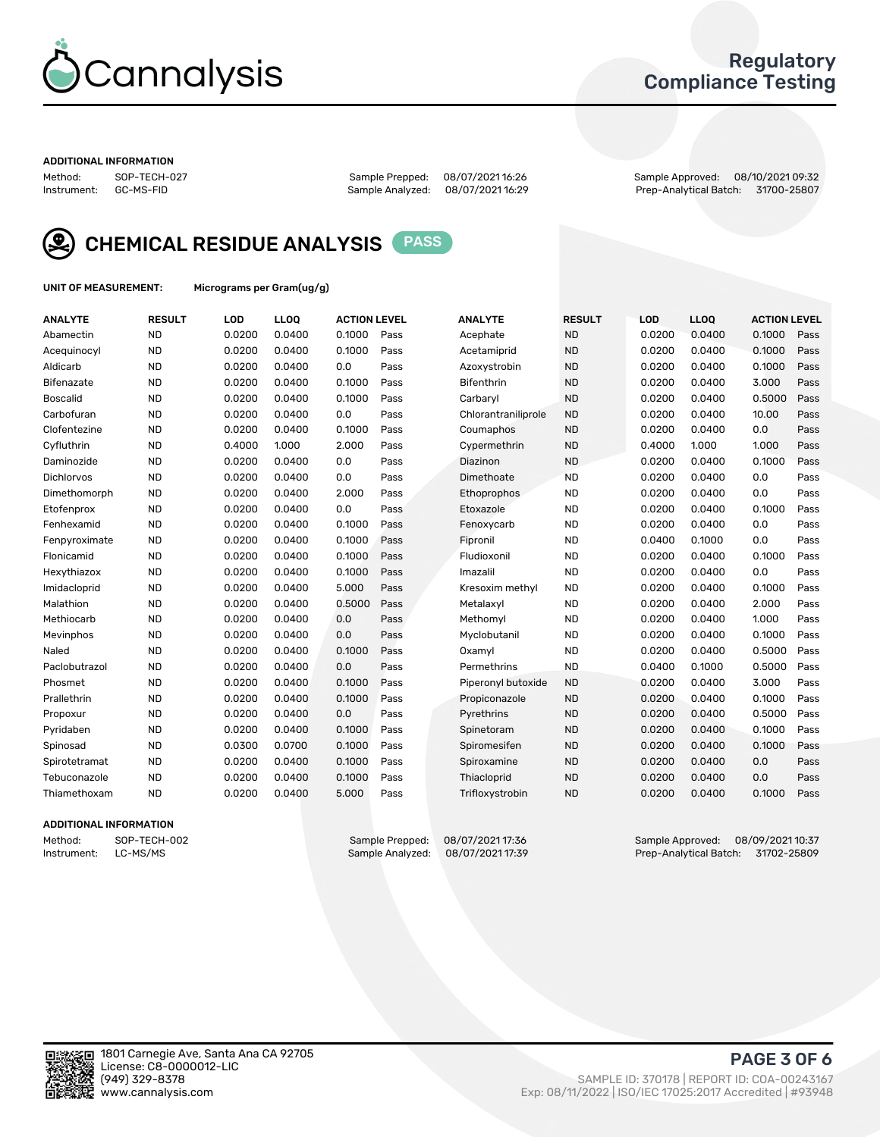

### Regulatory Compliance Testing

#### ADDITIONAL INFORMATION

Method: SOP-TECH-027 Sample Prepped: 08/07/2021 16:26 Sample Approved: 08/10/2021 09:32 Prep-Analytical Batch: 31700-25807



CHEMICAL RESIDUE ANALYSIS PASS

UNIT OF MEASUREMENT: Micrograms per Gram(ug/g)

| <b>ANALYTE</b>    | <b>RESULT</b> | LOD    | <b>LLOQ</b> | <b>ACTION LEVEL</b> |      | <b>ANALYTE</b>      | <b>RESULT</b> | LOD    | <b>LLOQ</b> | <b>ACTION LEVEL</b> |      |
|-------------------|---------------|--------|-------------|---------------------|------|---------------------|---------------|--------|-------------|---------------------|------|
| Abamectin         | <b>ND</b>     | 0.0200 | 0.0400      | 0.1000              | Pass | Acephate            | <b>ND</b>     | 0.0200 | 0.0400      | 0.1000              | Pass |
| Acequinocyl       | <b>ND</b>     | 0.0200 | 0.0400      | 0.1000              | Pass | Acetamiprid         | <b>ND</b>     | 0.0200 | 0.0400      | 0.1000              | Pass |
| Aldicarb          | <b>ND</b>     | 0.0200 | 0.0400      | 0.0                 | Pass | Azoxystrobin        | <b>ND</b>     | 0.0200 | 0.0400      | 0.1000              | Pass |
| Bifenazate        | <b>ND</b>     | 0.0200 | 0.0400      | 0.1000              | Pass | <b>Bifenthrin</b>   | <b>ND</b>     | 0.0200 | 0.0400      | 3.000               | Pass |
| <b>Boscalid</b>   | <b>ND</b>     | 0.0200 | 0.0400      | 0.1000              | Pass | Carbarvl            | <b>ND</b>     | 0.0200 | 0.0400      | 0.5000              | Pass |
| Carbofuran        | <b>ND</b>     | 0.0200 | 0.0400      | 0.0                 | Pass | Chlorantraniliprole | <b>ND</b>     | 0.0200 | 0.0400      | 10.00               | Pass |
| Clofentezine      | <b>ND</b>     | 0.0200 | 0.0400      | 0.1000              | Pass | Coumaphos           | <b>ND</b>     | 0.0200 | 0.0400      | 0.0                 | Pass |
| Cyfluthrin        | <b>ND</b>     | 0.4000 | 1.000       | 2.000               | Pass | Cypermethrin        | <b>ND</b>     | 0.4000 | 1.000       | 1.000               | Pass |
| Daminozide        | <b>ND</b>     | 0.0200 | 0.0400      | 0.0                 | Pass | Diazinon            | <b>ND</b>     | 0.0200 | 0.0400      | 0.1000              | Pass |
| <b>Dichlorvos</b> | <b>ND</b>     | 0.0200 | 0.0400      | 0.0                 | Pass | Dimethoate          | <b>ND</b>     | 0.0200 | 0.0400      | 0.0                 | Pass |
| Dimethomorph      | <b>ND</b>     | 0.0200 | 0.0400      | 2.000               | Pass | <b>Ethoprophos</b>  | <b>ND</b>     | 0.0200 | 0.0400      | 0.0                 | Pass |
| Etofenprox        | <b>ND</b>     | 0.0200 | 0.0400      | 0.0                 | Pass | Etoxazole           | <b>ND</b>     | 0.0200 | 0.0400      | 0.1000              | Pass |
| Fenhexamid        | <b>ND</b>     | 0.0200 | 0.0400      | 0.1000              | Pass | Fenoxycarb          | <b>ND</b>     | 0.0200 | 0.0400      | 0.0                 | Pass |
| Fenpyroximate     | <b>ND</b>     | 0.0200 | 0.0400      | 0.1000              | Pass | Fipronil            | <b>ND</b>     | 0.0400 | 0.1000      | 0.0                 | Pass |
| Flonicamid        | <b>ND</b>     | 0.0200 | 0.0400      | 0.1000              | Pass | Fludioxonil         | <b>ND</b>     | 0.0200 | 0.0400      | 0.1000              | Pass |
| Hexythiazox       | <b>ND</b>     | 0.0200 | 0.0400      | 0.1000              | Pass | Imazalil            | <b>ND</b>     | 0.0200 | 0.0400      | 0.0                 | Pass |
| Imidacloprid      | <b>ND</b>     | 0.0200 | 0.0400      | 5.000               | Pass | Kresoxim methyl     | <b>ND</b>     | 0.0200 | 0.0400      | 0.1000              | Pass |
| Malathion         | <b>ND</b>     | 0.0200 | 0.0400      | 0.5000              | Pass | Metalaxyl           | <b>ND</b>     | 0.0200 | 0.0400      | 2.000               | Pass |
| Methiocarb        | <b>ND</b>     | 0.0200 | 0.0400      | 0.0                 | Pass | Methomyl            | <b>ND</b>     | 0.0200 | 0.0400      | 1.000               | Pass |
| Mevinphos         | <b>ND</b>     | 0.0200 | 0.0400      | 0.0                 | Pass | Myclobutanil        | <b>ND</b>     | 0.0200 | 0.0400      | 0.1000              | Pass |
| Naled             | <b>ND</b>     | 0.0200 | 0.0400      | 0.1000              | Pass | Oxamyl              | <b>ND</b>     | 0.0200 | 0.0400      | 0.5000              | Pass |
| Paclobutrazol     | <b>ND</b>     | 0.0200 | 0.0400      | 0.0                 | Pass | Permethrins         | <b>ND</b>     | 0.0400 | 0.1000      | 0.5000              | Pass |
| Phosmet           | <b>ND</b>     | 0.0200 | 0.0400      | 0.1000              | Pass | Piperonyl butoxide  | <b>ND</b>     | 0.0200 | 0.0400      | 3.000               | Pass |
| Prallethrin       | <b>ND</b>     | 0.0200 | 0.0400      | 0.1000              | Pass | Propiconazole       | <b>ND</b>     | 0.0200 | 0.0400      | 0.1000              | Pass |
| Propoxur          | <b>ND</b>     | 0.0200 | 0.0400      | 0.0                 | Pass | Pyrethrins          | <b>ND</b>     | 0.0200 | 0.0400      | 0.5000              | Pass |
| Pyridaben         | <b>ND</b>     | 0.0200 | 0.0400      | 0.1000              | Pass | Spinetoram          | <b>ND</b>     | 0.0200 | 0.0400      | 0.1000              | Pass |
| Spinosad          | <b>ND</b>     | 0.0300 | 0.0700      | 0.1000              | Pass | Spiromesifen        | <b>ND</b>     | 0.0200 | 0.0400      | 0.1000              | Pass |
| Spirotetramat     | <b>ND</b>     | 0.0200 | 0.0400      | 0.1000              | Pass | Spiroxamine         | <b>ND</b>     | 0.0200 | 0.0400      | 0.0                 | Pass |
| Tebuconazole      | <b>ND</b>     | 0.0200 | 0.0400      | 0.1000              | Pass | Thiacloprid         | <b>ND</b>     | 0.0200 | 0.0400      | 0.0                 | Pass |
| Thiamethoxam      | <b>ND</b>     | 0.0200 | 0.0400      | 5.000               | Pass | Trifloxystrobin     | <b>ND</b>     | 0.0200 | 0.0400      | 0.1000              | Pass |

### ADDITIONAL INFORMATION

Method: SOP-TECH-002 Sample Prepped: 08/07/2021 17:36 Sample Approved: 08/09/2021 10:37<br>Instrument: LC-MS/MS Sample Analyzed: 08/07/2021 17:39 Prep-Analytical Batch: 31702-25809 Prep-Analytical Batch: 31702-25809

PAGE 3 OF 6

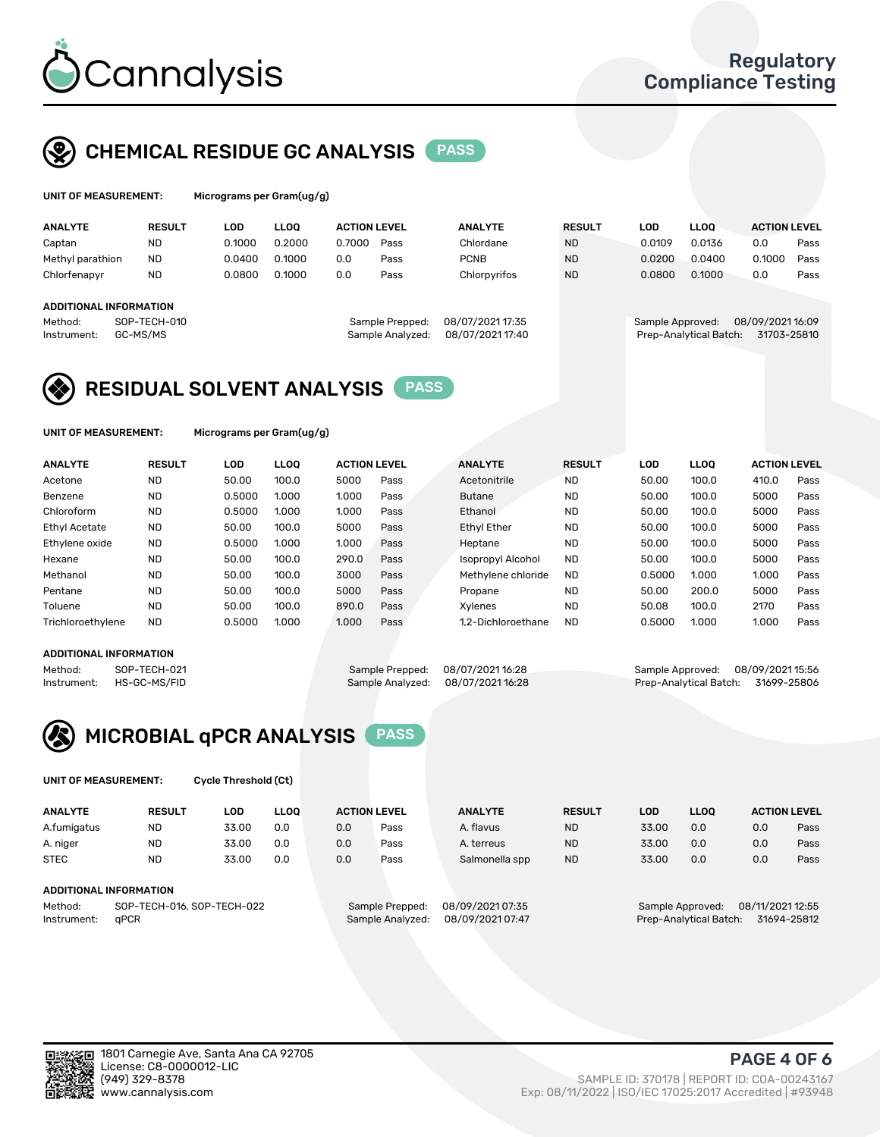

# CHEMICAL RESIDUE GC ANALYSIS PASS

| UNIT OF MEASUREMENT: | Micrograr |
|----------------------|-----------|
|                      |           |

ns per Gram(ug/g)

| <b>ANALYTE</b>         | <b>RESULT</b> | LOD    | <b>LLOO</b> | <b>ACTION LEVEL</b> |                  | <b>ANALYTE</b>   | <b>RESULT</b> | LOD              | <b>LLOO</b>            | <b>ACTION LEVEL</b> |      |
|------------------------|---------------|--------|-------------|---------------------|------------------|------------------|---------------|------------------|------------------------|---------------------|------|
| Captan                 | <b>ND</b>     | 0.1000 | 0.2000      | 0.7000              | Pass             | Chlordane        | <b>ND</b>     | 0.0109           | 0.0136                 | 0.0                 | Pass |
| Methyl parathion       | <b>ND</b>     | 0.0400 | 0.1000      | 0.0                 | Pass             | <b>PCNB</b>      | <b>ND</b>     | 0.0200           | 0.0400                 | 0.1000              | Pass |
| Chlorfenapyr           | <b>ND</b>     | 0.0800 | 0.1000      | 0.0                 | Pass             | Chlorpyrifos     | <b>ND</b>     | 0.0800           | 0.1000                 | 0.0                 | Pass |
|                        |               |        |             |                     |                  |                  |               |                  |                        |                     |      |
| ADDITIONAL INFORMATION |               |        |             |                     |                  |                  |               |                  |                        |                     |      |
| Method:                | SOP-TECH-010  |        |             |                     | Sample Prepped:  | 08/07/2021 17:35 |               | Sample Approved: |                        | 08/09/202116:09     |      |
| Instrument:            | GC-MS/MS      |        |             |                     | Sample Analyzed: | 08/07/202117:40  |               |                  | Prep-Analytical Batch: | 31703-25810         |      |
|                        |               |        |             |                     |                  |                  |               |                  |                        |                     |      |

## RESIDUAL SOLVENT ANALYSIS PASS

UNIT OF MEASUREMENT: Micrograms per Gram(ug/g)

| <b>ANALYTE</b>       | <b>RESULT</b> | <b>LOD</b> | <b>LLOO</b> | <b>ACTION LEVEL</b> |      | <b>ANALYTE</b>           | <b>RESULT</b> | <b>LOD</b> | <b>LLOO</b> | <b>ACTION LEVEL</b> |      |
|----------------------|---------------|------------|-------------|---------------------|------|--------------------------|---------------|------------|-------------|---------------------|------|
| Acetone              | <b>ND</b>     | 50.00      | 100.0       | 5000                | Pass | Acetonitrile             | <b>ND</b>     | 50.00      | 100.0       | 410.0               | Pass |
| Benzene              | <b>ND</b>     | 0.5000     | 1.000       | 1.000               | Pass | <b>Butane</b>            | <b>ND</b>     | 50.00      | 100.0       | 5000                | Pass |
| Chloroform           | <b>ND</b>     | 0.5000     | 1.000       | 1.000               | Pass | Ethanol                  | <b>ND</b>     | 50.00      | 100.0       | 5000                | Pass |
| <b>Ethyl Acetate</b> | <b>ND</b>     | 50.00      | 100.0       | 5000                | Pass | <b>Ethyl Ether</b>       | <b>ND</b>     | 50.00      | 100.0       | 5000                | Pass |
| Ethylene oxide       | <b>ND</b>     | 0.5000     | 1.000       | 1.000               | Pass | Heptane                  | <b>ND</b>     | 50.00      | 100.0       | 5000                | Pass |
| Hexane               | <b>ND</b>     | 50.00      | 100.0       | 290.0               | Pass | <b>Isopropyl Alcohol</b> | <b>ND</b>     | 50.00      | 100.0       | 5000                | Pass |
| Methanol             | <b>ND</b>     | 50.00      | 100.0       | 3000                | Pass | Methylene chloride       | <b>ND</b>     | 0.5000     | 1.000       | 1.000               | Pass |
| Pentane              | <b>ND</b>     | 50.00      | 100.0       | 5000                | Pass | Propane                  | <b>ND</b>     | 50.00      | 200.0       | 5000                | Pass |
| Toluene              | <b>ND</b>     | 50.00      | 100.0       | 890.0               | Pass | Xvlenes                  | <b>ND</b>     | 50.08      | 100.0       | 2170                | Pass |
| Trichloroethylene    | <b>ND</b>     | 0.5000     | 1.000       | 1.000               | Pass | 1.2-Dichloroethane       | <b>ND</b>     | 0.5000     | 1.000       | 1.000               | Pass |

#### ADDITIONAL INFORMATION

Method: SOP-TECH-021 Sample Prepped: 08/07/2021 16:28 Sample Approved: 08/09/2021 15:56<br>Instrument: HS-GC-MS/FID Sample Analyzed: 08/07/2021 16:28 Prep-Analytical Batch: 31699-25806 Prep-Analytical Batch: 31699-25806



UNIT OF MEASUREMENT: Cycle Threshold (Ct)

| <b>ANALYTE</b>                        | <b>RESULT</b>          | LOD   | <b>LLOO</b> |                 | <b>ACTION LEVEL</b> | <b>ANALYTE</b> | <b>RESULT</b> | LOD              | LL <sub>00</sub> |     | <b>ACTION LEVEL</b> |
|---------------------------------------|------------------------|-------|-------------|-----------------|---------------------|----------------|---------------|------------------|------------------|-----|---------------------|
| A.fumigatus                           | <b>ND</b>              | 33.00 | 0.0         | 0.0             | Pass                | A. flavus      | <b>ND</b>     | 33.00            | 0.0              | 0.0 | Pass                |
| A. niger                              | <b>ND</b>              | 33.00 | 0.0         | 0.0             | Pass                | A. terreus     | <b>ND</b>     | 33.00            | 0.0              | 0.0 | Pass                |
| <b>STEC</b>                           | <b>ND</b>              | 33.00 | 0.0         | 0.0             | Pass                | Salmonella spp | <b>ND</b>     | 33.00            | 0.0              | 0.0 | Pass                |
|                                       | ADDITIONAL INFORMATION |       |             |                 |                     |                |               |                  |                  |     |                     |
| SOP-TECH-016, SOP-TECH-022<br>Method: |                        |       |             | Sample Prepped: | 08/09/2021 07:35    |                |               | Sample Approved: | 08/11/2021 12:55 |     |                     |

Instrument: qPCR CONSERVITED Sample Analyzed: 08/09/2021 07:47 Prep-Analytical Batch: 31694-25812

PAGE 4 OF 6

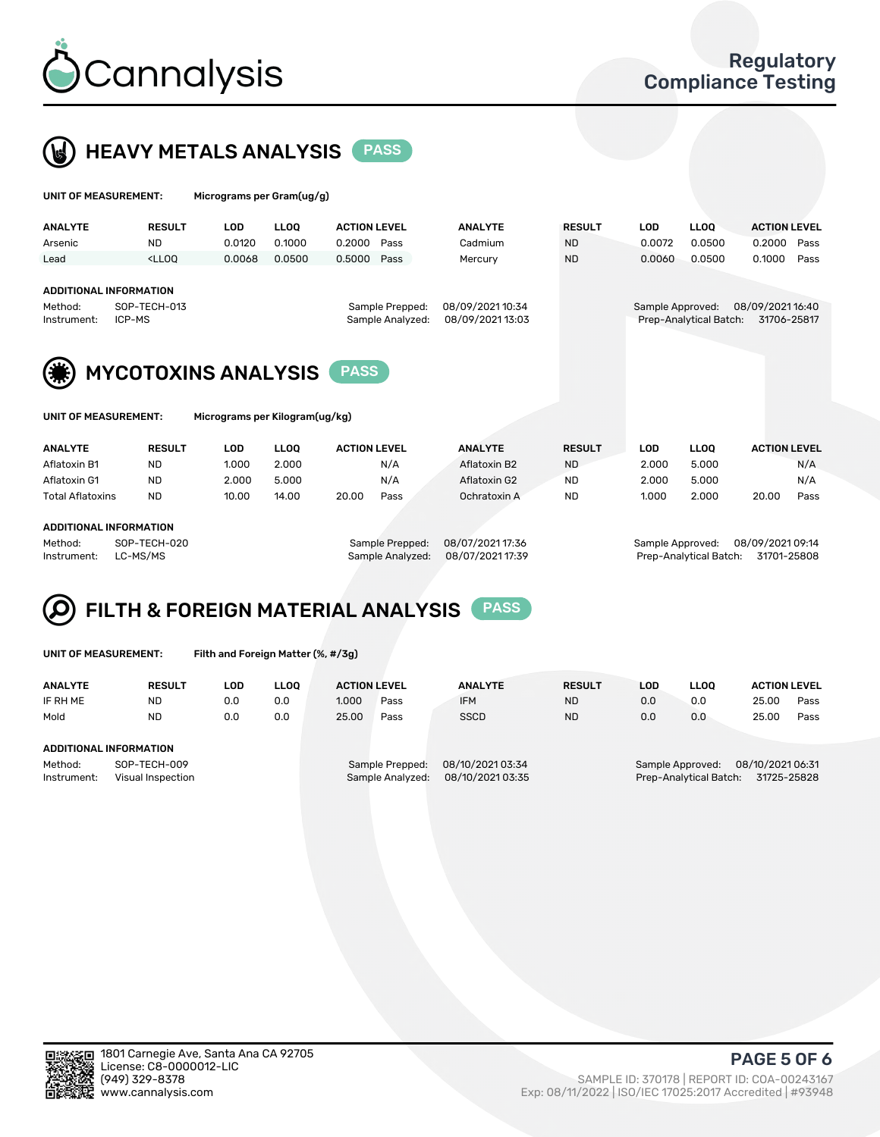



| UNIT OF MEASUREMENT:                                    |                                                                                                                                                                         | Micrograms per Gram(ug/g)      |                |                                      |      |                  |                        |                                 |                |                     |
|---------------------------------------------------------|-------------------------------------------------------------------------------------------------------------------------------------------------------------------------|--------------------------------|----------------|--------------------------------------|------|------------------|------------------------|---------------------------------|----------------|---------------------|
| <b>ANALYTE</b>                                          | <b>RESULT</b>                                                                                                                                                           | <b>LOD</b>                     | <b>LLOQ</b>    | <b>ACTION LEVEL</b>                  |      | <b>ANALYTE</b>   | <b>RESULT</b>          | <b>LOD</b>                      | <b>LLOQ</b>    | <b>ACTION LEVEL</b> |
| Arsenic                                                 | <b>ND</b>                                                                                                                                                               | 0.0120                         | 0.1000         | 0.2000                               | Pass | Cadmium          | <b>ND</b>              | 0.0072                          | 0.0500         | 0.2000<br>Pass      |
| Lead                                                    | <lloo< td=""><td>0.0068</td><td>0.0500</td><td>0.5000</td><td>Pass</td><td>Mercury</td><td><b>ND</b></td><td>0.0060</td><td>0.0500</td><td>0.1000<br/>Pass</td></lloo<> | 0.0068                         | 0.0500         | 0.5000                               | Pass | Mercury          | <b>ND</b>              | 0.0060                          | 0.0500         | 0.1000<br>Pass      |
| <b>ADDITIONAL INFORMATION</b><br>Method:<br>Instrument: | SOP-TECH-013<br>ICP-MS                                                                                                                                                  |                                |                | 08/09/2021 10:34<br>08/09/2021 13:03 |      | Sample Approved: | Prep-Analytical Batch: | 08/09/2021 16:40<br>31706-25817 |                |                     |
|                                                         |                                                                                                                                                                         | <b>MYCOTOXINS ANALYSIS</b>     |                | <b>PASS</b>                          |      |                  |                        |                                 |                |                     |
| UNIT OF MEASUREMENT:                                    |                                                                                                                                                                         | Micrograms per Kilogram(ug/kg) |                |                                      |      |                  |                        |                                 |                |                     |
| AMALVTE                                                 | <b>DECLUT</b>                                                                                                                                                           | $\overline{a}$                 | $\overline{1}$ | A OTION LEVEL                        |      | ANAI VTE         | 656111 T               | $\sqrt{2}$                      | $\overline{1}$ | A ATIAN LEVEL       |

| <b>ANALYTE</b>          |                        | <b>RESULT</b> | ∟OD   | LLOO  | <b>ACTION LEVEL</b> | <b>ANALYTE</b>   | <b>RESULT</b> | LOD              | LLOO  | <b>ACTION LEVEL</b> |      |
|-------------------------|------------------------|---------------|-------|-------|---------------------|------------------|---------------|------------------|-------|---------------------|------|
| Aflatoxin B1            |                        | <b>ND</b>     | 1.000 | 2.000 | N/A                 | Aflatoxin B2     | <b>ND</b>     | 2.000            | 5.000 |                     | N/A  |
| Aflatoxin G1            |                        | <b>ND</b>     | 2.000 | 5.000 | N/A                 | Aflatoxin G2     | ND            | 2.000            | 5.000 |                     | N/A  |
| <b>Total Aflatoxins</b> |                        | ND            | 10.00 | 14.00 | 20.00<br>Pass       | Ochratoxin A     | ND            | 1.000            | 2.000 | 20.00               | Pass |
|                         |                        |               |       |       |                     |                  |               |                  |       |                     |      |
|                         | ADDITIONAL INFORMATION |               |       |       |                     |                  |               |                  |       |                     |      |
| Method:                 |                        | SOP-TECH-020  |       |       | Sample Prepped:     | 08/07/2021 17:36 |               | Sample Approved: |       | 08/09/2021 09:14    |      |

Instrument: LC-MS/MS Sample Analyzed: 08/07/2021 17:39 Prep-Analytical Batch: 31701-25808

# FILTH & FOREIGN MATERIAL ANALYSIS PASS

UNIT OF MEASUREMENT: Filth and Foreign Matter (%, #/3g)

| <b>ANALYTE</b>                                              | <b>RESULT</b> | LOD | <b>LLOO</b> | <b>ACTION LEVEL</b>                 |      | <b>ANALYTE</b>                       | <b>RESULT</b> | LOD                                                                        | <b>LLOO</b> | <b>ACTION LEVEL</b> |      |
|-------------------------------------------------------------|---------------|-----|-------------|-------------------------------------|------|--------------------------------------|---------------|----------------------------------------------------------------------------|-------------|---------------------|------|
| IF RH ME                                                    | <b>ND</b>     | 0.0 | 0.0         | 1.000                               | Pass | <b>IFM</b>                           | <b>ND</b>     | 0.0                                                                        | 0.0         | 25.00               | Pass |
| Mold                                                        | <b>ND</b>     | 0.0 | 0.0         | 25.00                               | Pass | <b>SSCD</b>                          | <b>ND</b>     | 0.0                                                                        | 0.0         | 25.00               | Pass |
| <b>ADDITIONAL INFORMATION</b>                               |               |     |             |                                     |      |                                      |               |                                                                            |             |                     |      |
| Method:<br>SOP-TECH-009<br>Instrument:<br>Visual Inspection |               |     |             | Sample Prepped:<br>Sample Analyzed: |      | 08/10/2021 03:34<br>08/10/2021 03:35 |               | 08/10/2021 06:31<br>Sample Approved:<br>Prep-Analytical Batch: 31725-25828 |             |                     |      |